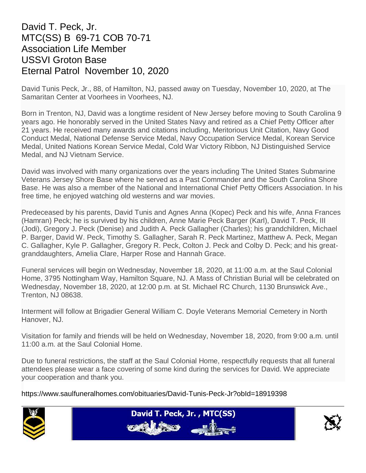## David T. Peck, Jr. MTC(SS) B 69-71 COB 70-71 Association Life Member USSVI Groton Base Eternal Patrol November 10, 2020

David Tunis Peck, Jr., 88, of Hamilton, NJ, passed away on Tuesday, November 10, 2020, at The Samaritan Center at Voorhees in Voorhees, NJ.

Born in Trenton, NJ, David was a longtime resident of New Jersey before moving to South Carolina 9 years ago. He honorably served in the United States Navy and retired as a Chief Petty Officer after 21 years. He received many awards and citations including, Meritorious Unit Citation, Navy Good Conduct Medal, National Defense Service Medal, Navy Occupation Service Medal, Korean Service Medal, United Nations Korean Service Medal, Cold War Victory Ribbon, NJ Distinguished Service Medal, and NJ Vietnam Service.

David was involved with many organizations over the years including The United States Submarine Veterans Jersey Shore Base where he served as a Past Commander and the South Carolina Shore Base. He was also a member of the National and International Chief Petty Officers Association. In his free time, he enjoyed watching old westerns and war movies.

Predeceased by his parents, David Tunis and Agnes Anna (Kopec) Peck and his wife, Anna Frances (Hamran) Peck; he is survived by his children, Anne Marie Peck Barger (Karl), David T. Peck, III (Jodi), Gregory J. Peck (Denise) and Judith A. Peck Gallagher (Charles); his grandchildren, Michael P. Barger, David W. Peck, Timothy S. Gallagher, Sarah R. Peck Martinez, Matthew A. Peck, Megan C. Gallagher, Kyle P. Gallagher, Gregory R. Peck, Colton J. Peck and Colby D. Peck; and his greatgranddaughters, Amelia Clare, Harper Rose and Hannah Grace.

Funeral services will begin on Wednesday, November 18, 2020, at 11:00 a.m. at the Saul Colonial Home, 3795 Nottingham Way, Hamilton Square, NJ. A Mass of Christian Burial will be celebrated on Wednesday, November 18, 2020, at 12:00 p.m. at St. Michael RC Church, 1130 Brunswick Ave., Trenton, NJ 08638.

Interment will follow at Brigadier General William C. Doyle Veterans Memorial Cemetery in North Hanover, NJ.

Visitation for family and friends will be held on Wednesday, November 18, 2020, from 9:00 a.m. until 11:00 a.m. at the Saul Colonial Home.

Due to funeral restrictions, the staff at the Saul Colonial Home, respectfully requests that all funeral attendees please wear a face covering of some kind during the services for David. We appreciate your cooperation and thank you.

https://www.saulfuneralhomes.com/obituaries/David-Tunis-Peck-Jr?obId=18919398





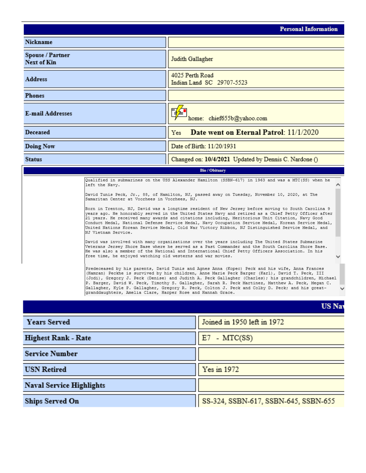|                                        |                                                                                                                                                                                                                                                                                                                                                                                                                                                                                                                                                                                                                                                                                                                                                                                                                                                                                                                                                                                                                                                                                                                                                                                                                                                                                                                                                                                                                                                                                                                                                                                                                                                                                                                                               | <b>Personal Information</b>                           |  |  |  |  |  |
|----------------------------------------|-----------------------------------------------------------------------------------------------------------------------------------------------------------------------------------------------------------------------------------------------------------------------------------------------------------------------------------------------------------------------------------------------------------------------------------------------------------------------------------------------------------------------------------------------------------------------------------------------------------------------------------------------------------------------------------------------------------------------------------------------------------------------------------------------------------------------------------------------------------------------------------------------------------------------------------------------------------------------------------------------------------------------------------------------------------------------------------------------------------------------------------------------------------------------------------------------------------------------------------------------------------------------------------------------------------------------------------------------------------------------------------------------------------------------------------------------------------------------------------------------------------------------------------------------------------------------------------------------------------------------------------------------------------------------------------------------------------------------------------------------|-------------------------------------------------------|--|--|--|--|--|
| Nickname                               |                                                                                                                                                                                                                                                                                                                                                                                                                                                                                                                                                                                                                                                                                                                                                                                                                                                                                                                                                                                                                                                                                                                                                                                                                                                                                                                                                                                                                                                                                                                                                                                                                                                                                                                                               |                                                       |  |  |  |  |  |
| Spouse / Partner<br><b>Next of Kin</b> |                                                                                                                                                                                                                                                                                                                                                                                                                                                                                                                                                                                                                                                                                                                                                                                                                                                                                                                                                                                                                                                                                                                                                                                                                                                                                                                                                                                                                                                                                                                                                                                                                                                                                                                                               | Judith Gallagher                                      |  |  |  |  |  |
| <b>Address</b>                         | 4025 Perth Road                                                                                                                                                                                                                                                                                                                                                                                                                                                                                                                                                                                                                                                                                                                                                                                                                                                                                                                                                                                                                                                                                                                                                                                                                                                                                                                                                                                                                                                                                                                                                                                                                                                                                                                               | Indian Land SC 29707-5523                             |  |  |  |  |  |
| <b>Phones</b>                          |                                                                                                                                                                                                                                                                                                                                                                                                                                                                                                                                                                                                                                                                                                                                                                                                                                                                                                                                                                                                                                                                                                                                                                                                                                                                                                                                                                                                                                                                                                                                                                                                                                                                                                                                               |                                                       |  |  |  |  |  |
| <b>E-mail Addresses</b>                | 孚<br>home: chief655b@yahoo.com                                                                                                                                                                                                                                                                                                                                                                                                                                                                                                                                                                                                                                                                                                                                                                                                                                                                                                                                                                                                                                                                                                                                                                                                                                                                                                                                                                                                                                                                                                                                                                                                                                                                                                                |                                                       |  |  |  |  |  |
| Deceased                               | Date went on Eternal Patrol: 11/1/2020<br>Yes                                                                                                                                                                                                                                                                                                                                                                                                                                                                                                                                                                                                                                                                                                                                                                                                                                                                                                                                                                                                                                                                                                                                                                                                                                                                                                                                                                                                                                                                                                                                                                                                                                                                                                 |                                                       |  |  |  |  |  |
| Doing Now                              | Date of Birth: 11/20/1931                                                                                                                                                                                                                                                                                                                                                                                                                                                                                                                                                                                                                                                                                                                                                                                                                                                                                                                                                                                                                                                                                                                                                                                                                                                                                                                                                                                                                                                                                                                                                                                                                                                                                                                     |                                                       |  |  |  |  |  |
| <b>Status</b>                          |                                                                                                                                                                                                                                                                                                                                                                                                                                                                                                                                                                                                                                                                                                                                                                                                                                                                                                                                                                                                                                                                                                                                                                                                                                                                                                                                                                                                                                                                                                                                                                                                                                                                                                                                               | Changed on: 10/4/2021 Updated by Dennis C. Nardone () |  |  |  |  |  |
|                                        | <b>Bio / Obituary</b>                                                                                                                                                                                                                                                                                                                                                                                                                                                                                                                                                                                                                                                                                                                                                                                                                                                                                                                                                                                                                                                                                                                                                                                                                                                                                                                                                                                                                                                                                                                                                                                                                                                                                                                         |                                                       |  |  |  |  |  |
| left the Navy.<br>NJ Vietnam Service.  | Qualified in submarines on the USS Alexander Hamilton (SSBN-617) in 1963 and was a MTC(SS) when he<br>David Tunis Peck, Jr., 88, of Hamilton, NJ, passed away on Tuesday, November 10, 2020, at The<br>Samaritan Center at Voorhees in Voorhees, NJ.<br>Born in Trenton, NJ, David was a longtime resident of New Jersey before moving to South Carolina 9<br>years ago. He honorably served in the United States Navy and retired as a Chief Petty Officer after<br>21 years. He received many awards and citations including, Meritorious Unit Citation, Navy Good<br>Conduct Medal, National Defense Service Medal, Navy Occupation Service Medal, Korean Service Medal,<br>United Nations Korean Service Medal, Cold War Victory Ribbon, NJ Distinguished Service Medal, and<br>David was involved with many organizations over the years including The United States Submarine<br>Veterans Jersey Shore Base where he served as a Past Commander and the South Carolina Shore Base.<br>He was also a member of the National and International Chief Petty Officers Association. In his<br>free time, he enjoyed watching old westerns and war movies.<br>Predeceased by his parents, David Tunis and Aqnes Anna (Kopec) Peck and his wife, Anna Frances<br>(Hamran) Peckhe is survived by his children, Anne Marie Peck Barger (Karl), David T. Peck, III<br>(Jodi), Gregory J. Peck (Denise) and Judith A. Peck Gallagher (Charles); his grandchildren, Michael<br>P. Barger, David W. Peck, Timothy S. Gallagher, Sarah R. Peck Martinez, Matthew A. Peck, Megan C.<br>Gallagher, Kyle P. Gallagher, Gregory R. Peck, Colton J. Peck and Colby D. Peck; and his great-<br> granddaughters, Amelia Clare, Harper Rose and Hannah Grace. |                                                       |  |  |  |  |  |
|                                        |                                                                                                                                                                                                                                                                                                                                                                                                                                                                                                                                                                                                                                                                                                                                                                                                                                                                                                                                                                                                                                                                                                                                                                                                                                                                                                                                                                                                                                                                                                                                                                                                                                                                                                                                               | <b>US Nav</b>                                         |  |  |  |  |  |
| <b>Years Served</b>                    |                                                                                                                                                                                                                                                                                                                                                                                                                                                                                                                                                                                                                                                                                                                                                                                                                                                                                                                                                                                                                                                                                                                                                                                                                                                                                                                                                                                                                                                                                                                                                                                                                                                                                                                                               | Joined in 1950 left in 1972                           |  |  |  |  |  |
| <b>Highest Rank - Rate</b>             |                                                                                                                                                                                                                                                                                                                                                                                                                                                                                                                                                                                                                                                                                                                                                                                                                                                                                                                                                                                                                                                                                                                                                                                                                                                                                                                                                                                                                                                                                                                                                                                                                                                                                                                                               | $E7 - MTC(SS)$                                        |  |  |  |  |  |
| <b>Service Number</b>                  |                                                                                                                                                                                                                                                                                                                                                                                                                                                                                                                                                                                                                                                                                                                                                                                                                                                                                                                                                                                                                                                                                                                                                                                                                                                                                                                                                                                                                                                                                                                                                                                                                                                                                                                                               |                                                       |  |  |  |  |  |
| <b>USN Retired</b>                     |                                                                                                                                                                                                                                                                                                                                                                                                                                                                                                                                                                                                                                                                                                                                                                                                                                                                                                                                                                                                                                                                                                                                                                                                                                                                                                                                                                                                                                                                                                                                                                                                                                                                                                                                               | Yes in 1972                                           |  |  |  |  |  |
| <b>Naval Service Highlights</b>        |                                                                                                                                                                                                                                                                                                                                                                                                                                                                                                                                                                                                                                                                                                                                                                                                                                                                                                                                                                                                                                                                                                                                                                                                                                                                                                                                                                                                                                                                                                                                                                                                                                                                                                                                               |                                                       |  |  |  |  |  |
| Ships Served On                        |                                                                                                                                                                                                                                                                                                                                                                                                                                                                                                                                                                                                                                                                                                                                                                                                                                                                                                                                                                                                                                                                                                                                                                                                                                                                                                                                                                                                                                                                                                                                                                                                                                                                                                                                               | SS-324, SSBN-617, SSBN-645, SSBN-655                  |  |  |  |  |  |